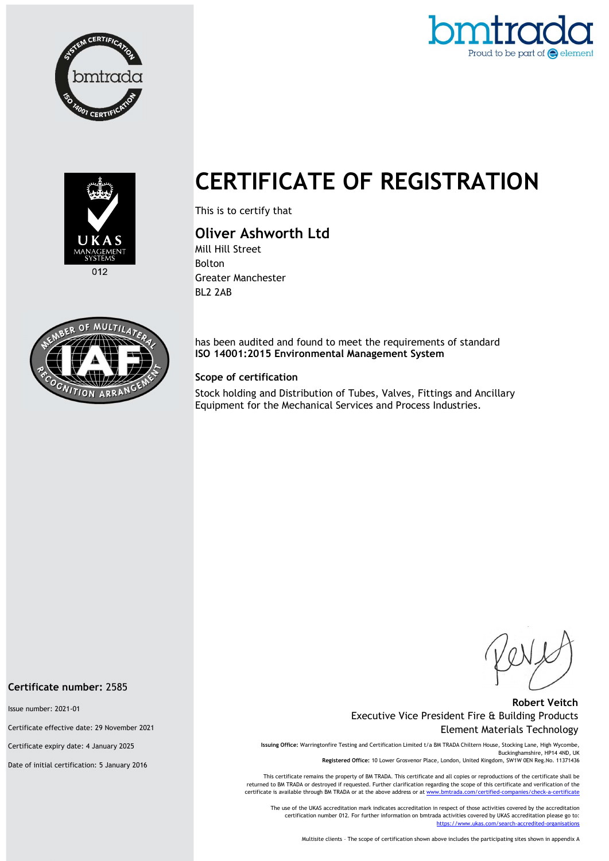





CERTIFICATE OF REGISTRATION

This is to certify that

# Oliver Ashworth Ltd

Mill Hill Street Bolton Greater Manchester BL2 2AB



has been audited and found to meet the requirements of standard ISO 14001:2015 Environmental Management System

### Scope of certification

Stock holding and Distribution of Tubes, Valves, Fittings and Ancillary Equipment for the Mechanical Services and Process Industries.

### Robert Veitch Executive Vice President Fire & Building Products Element Materials Technology

Issuing Office: Warringtonfire Testing and Certification Limited t/a BM TRADA Chiltern House, Stocking Lane, High Wycombe, Buckinghamshire, HP14 4ND, UK Registered Office: 10 Lower Grosvenor Place, London, United Kingdom, SW1W 0EN Reg.No. 11371436

This certificate remains the property of BM TRADA. This certificate and all copies or reproductions of the certificate shall be returned to BM TRADA or destroyed if requested. Further clarification regarding the scope of this certificate and verification of the certificate is available through BM TRADA or at the above address or at www.

The use of the UKAS accreditation mark indicates accreditation in respect of those activities covered by the accreditation certification number 012. For further information on bmtrada activities covered by UKAS accreditation please go to: https://www.ukas.com/search-accredited-organis

Multisite clients – The scope of certification shown above includes the participating sites shown in appendix A

#### Certificate number: 2585

Issue number: 2021-01

Certificate effective date: 29 November 2021

Certificate expiry date: 4 January 2025

Date of initial certification: 5 January 2016